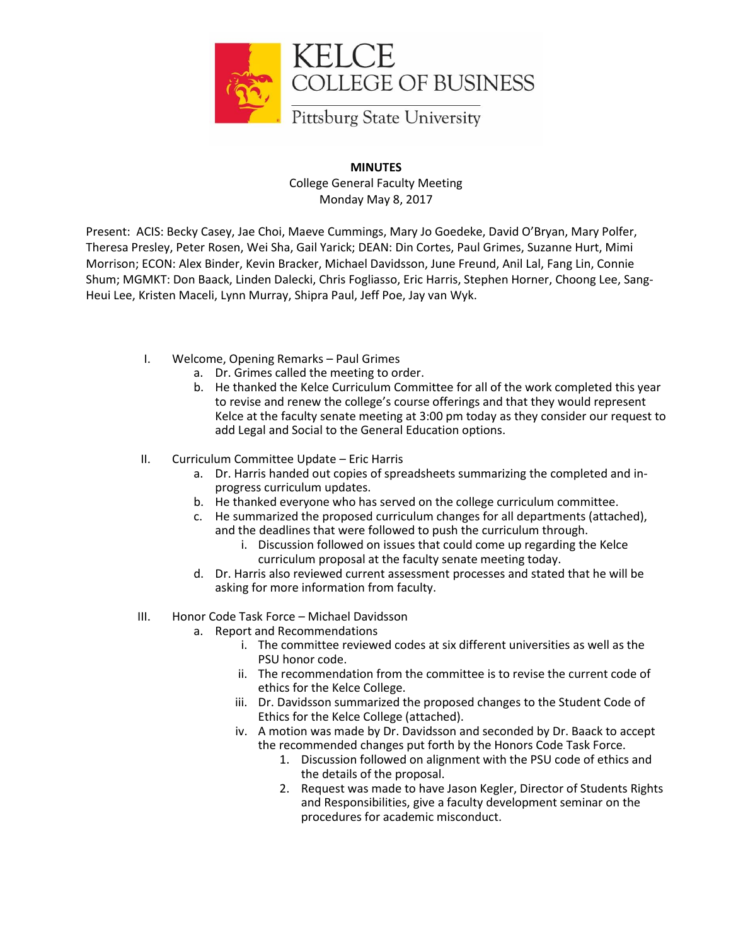

## **MINUTES** College General Faculty Meeting Monday May 8, 2017

Present: ACIS: Becky Casey, Jae Choi, Maeve Cummings, Mary Jo Goedeke, David O'Bryan, Mary Polfer, Theresa Presley, Peter Rosen, Wei Sha, Gail Yarick; DEAN: Din Cortes, Paul Grimes, Suzanne Hurt, Mimi Morrison; ECON: Alex Binder, Kevin Bracker, Michael Davidsson, June Freund, Anil Lal, Fang Lin, Connie Shum; MGMKT: Don Baack, Linden Dalecki, Chris Fogliasso, Eric Harris, Stephen Horner, Choong Lee, Sang-Heui Lee, Kristen Maceli, Lynn Murray, Shipra Paul, Jeff Poe, Jay van Wyk.

- I. Welcome, Opening Remarks Paul Grimes
	- a. Dr. Grimes called the meeting to order.
	- b. He thanked the Kelce Curriculum Committee for all of the work completed this year to revise and renew the college's course offerings and that they would represent Kelce at the faculty senate meeting at 3:00 pm today as they consider our request to add Legal and Social to the General Education options.
- II. Curriculum Committee Update Eric Harris
	- a. Dr. Harris handed out copies of spreadsheets summarizing the completed and inprogress curriculum updates.
	- b. He thanked everyone who has served on the college curriculum committee.
	- c. He summarized the proposed curriculum changes for all departments (attached), and the deadlines that were followed to push the curriculum through.
		- i. Discussion followed on issues that could come up regarding the Kelce curriculum proposal at the faculty senate meeting today.
	- d. Dr. Harris also reviewed current assessment processes and stated that he will be asking for more information from faculty.
- III. Honor Code Task Force Michael Davidsson
	- a. Report and Recommendations
		- i. The committee reviewed codes at six different universities as well as the PSU honor code.
		- ii. The recommendation from the committee is to revise the current code of ethics for the Kelce College.
		- iii. Dr. Davidsson summarized the proposed changes to the Student Code of Ethics for the Kelce College (attached).
		- iv. A motion was made by Dr. Davidsson and seconded by Dr. Baack to accept the recommended changes put forth by the Honors Code Task Force.
			- 1. Discussion followed on alignment with the PSU code of ethics and the details of the proposal.
			- 2. Request was made to have Jason Kegler, Director of Students Rights and Responsibilities, give a faculty development seminar on the procedures for academic misconduct.